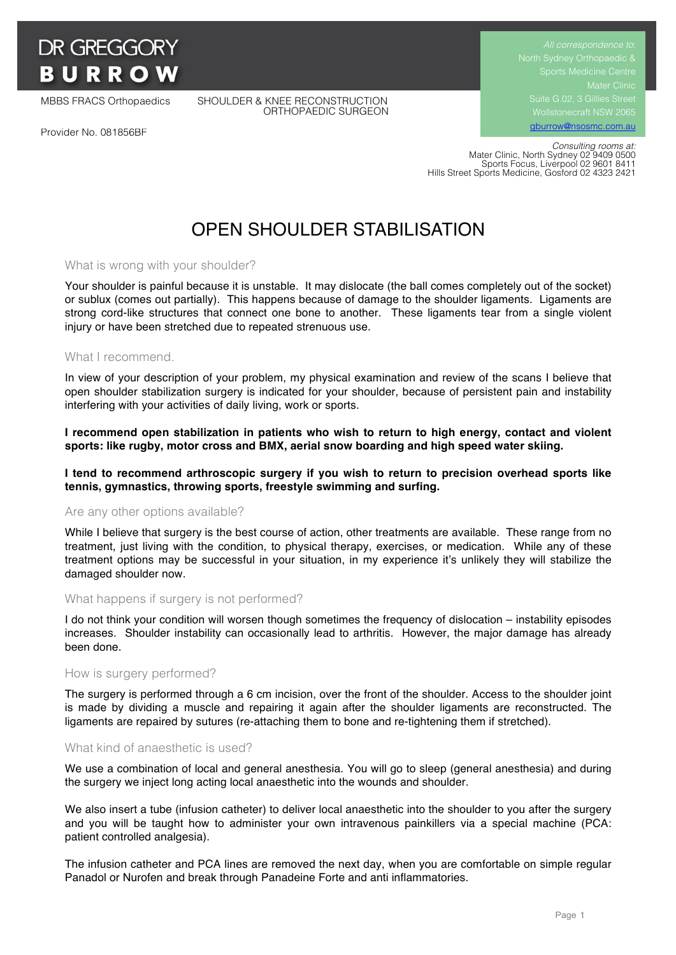

MBBS FRACS Orthopaedics SHOULDER & KNEE RECONSTRUCTION ORTHOPAEDIC SURGEON Suite G.02, 3 Gillies Street Wollstonecraft NSW 2065 gburrow@nsosmc.com.au

Provider No. 081856BF

 *Consulting rooms at:* Mater Clinic, North Sydney 02 9409 0500 Sports Focus, Liverpool 02 9601 8411 Hills Street Sports Medicine, Gosford 02 4323 2421

# OPEN SHOULDER STABILISATION

## What is wrong with your shoulder?

Your shoulder is painful because it is unstable. It may dislocate (the ball comes completely out of the socket) or sublux (comes out partially). This happens because of damage to the shoulder ligaments. Ligaments are strong cord-like structures that connect one bone to another. These ligaments tear from a single violent injury or have been stretched due to repeated strenuous use.

## What I recommend.

In view of your description of your problem, my physical examination and review of the scans I believe that open shoulder stabilization surgery is indicated for your shoulder, because of persistent pain and instability interfering with your activities of daily living, work or sports.

**I recommend open stabilization in patients who wish to return to high energy, contact and violent sports: like rugby, motor cross and BMX, aerial snow boarding and high speed water skiing.**

## **I tend to recommend arthroscopic surgery if you wish to return to precision overhead sports like tennis, gymnastics, throwing sports, freestyle swimming and surfing.**

## Are any other options available?

While I believe that surgery is the best course of action, other treatments are available. These range from no treatment, just living with the condition, to physical therapy, exercises, or medication. While any of these treatment options may be successful in your situation, in my experience it's unlikely they will stabilize the damaged shoulder now.

#### What happens if surgery is not performed?

I do not think your condition will worsen though sometimes the frequency of dislocation – instability episodes increases. Shoulder instability can occasionally lead to arthritis. However, the major damage has already been done.

## How is surgery performed?

The surgery is performed through a 6 cm incision, over the front of the shoulder. Access to the shoulder joint is made by dividing a muscle and repairing it again after the shoulder ligaments are reconstructed. The ligaments are repaired by sutures (re-attaching them to bone and re-tightening them if stretched).

## What kind of anaesthetic is used?

We use a combination of local and general anesthesia. You will go to sleep (general anesthesia) and during the surgery we inject long acting local anaesthetic into the wounds and shoulder.

We also insert a tube (infusion catheter) to deliver local anaesthetic into the shoulder to you after the surgery and you will be taught how to administer your own intravenous painkillers via a special machine (PCA: patient controlled analgesia).

The infusion catheter and PCA lines are removed the next day, when you are comfortable on simple regular Panadol or Nurofen and break through Panadeine Forte and anti inflammatories.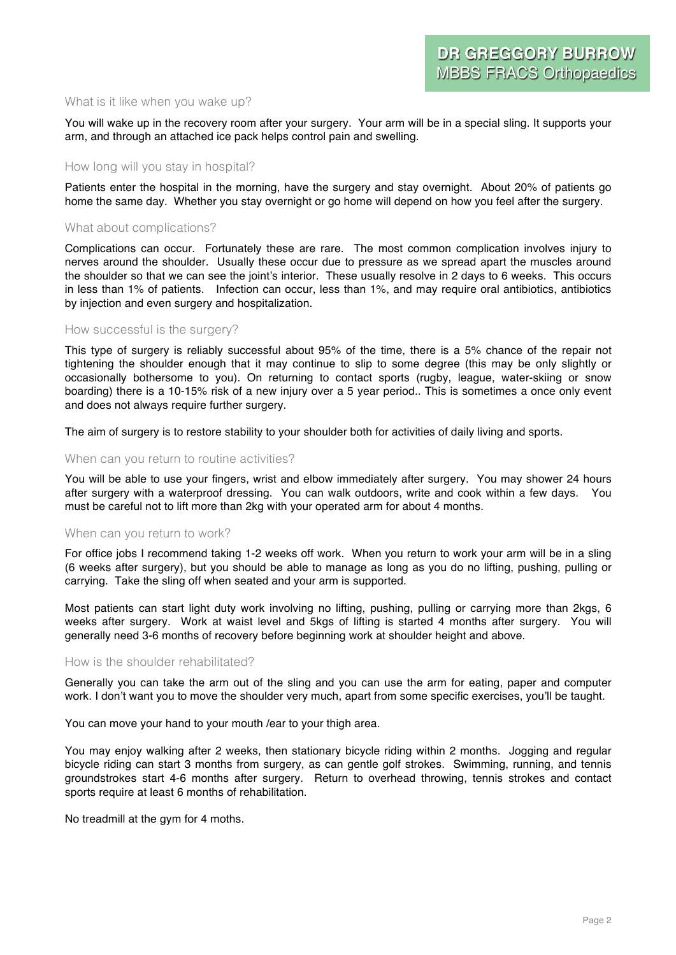## What is it like when you wake up?

You will wake up in the recovery room after your surgery. Your arm will be in a special sling. It supports your arm, and through an attached ice pack helps control pain and swelling.

## How long will you stay in hospital?

Patients enter the hospital in the morning, have the surgery and stay overnight. About 20% of patients go home the same day. Whether you stay overnight or go home will depend on how you feel after the surgery.

## What about complications?

Complications can occur. Fortunately these are rare. The most common complication involves injury to nerves around the shoulder. Usually these occur due to pressure as we spread apart the muscles around the shoulder so that we can see the joint's interior. These usually resolve in 2 days to 6 weeks. This occurs in less than 1% of patients. Infection can occur, less than 1%, and may require oral antibiotics, antibiotics by injection and even surgery and hospitalization.

## How successful is the surgery?

This type of surgery is reliably successful about 95% of the time, there is a 5% chance of the repair not tightening the shoulder enough that it may continue to slip to some degree (this may be only slightly or occasionally bothersome to you). On returning to contact sports (rugby, league, water-skiing or snow boarding) there is a 10-15% risk of a new injury over a 5 year period.. This is sometimes a once only event and does not always require further surgery.

The aim of surgery is to restore stability to your shoulder both for activities of daily living and sports.

#### When can you return to routine activities?

You will be able to use your fingers, wrist and elbow immediately after surgery. You may shower 24 hours after surgery with a waterproof dressing. You can walk outdoors, write and cook within a few days. You must be careful not to lift more than 2kg with your operated arm for about 4 months.

## When can you return to work?

For office jobs I recommend taking 1-2 weeks off work. When you return to work your arm will be in a sling (6 weeks after surgery), but you should be able to manage as long as you do no lifting, pushing, pulling or carrying. Take the sling off when seated and your arm is supported.

Most patients can start light duty work involving no lifting, pushing, pulling or carrying more than 2kgs, 6 weeks after surgery. Work at waist level and 5kgs of lifting is started 4 months after surgery. You will generally need 3-6 months of recovery before beginning work at shoulder height and above.

## How is the shoulder rehabilitated?

Generally you can take the arm out of the sling and you can use the arm for eating, paper and computer work. I don't want you to move the shoulder very much, apart from some specific exercises, you'll be taught.

You can move your hand to your mouth /ear to your thigh area.

You may enjoy walking after 2 weeks, then stationary bicycle riding within 2 months. Jogging and regular bicycle riding can start 3 months from surgery, as can gentle golf strokes. Swimming, running, and tennis groundstrokes start 4-6 months after surgery. Return to overhead throwing, tennis strokes and contact sports require at least 6 months of rehabilitation.

No treadmill at the gym for 4 moths.